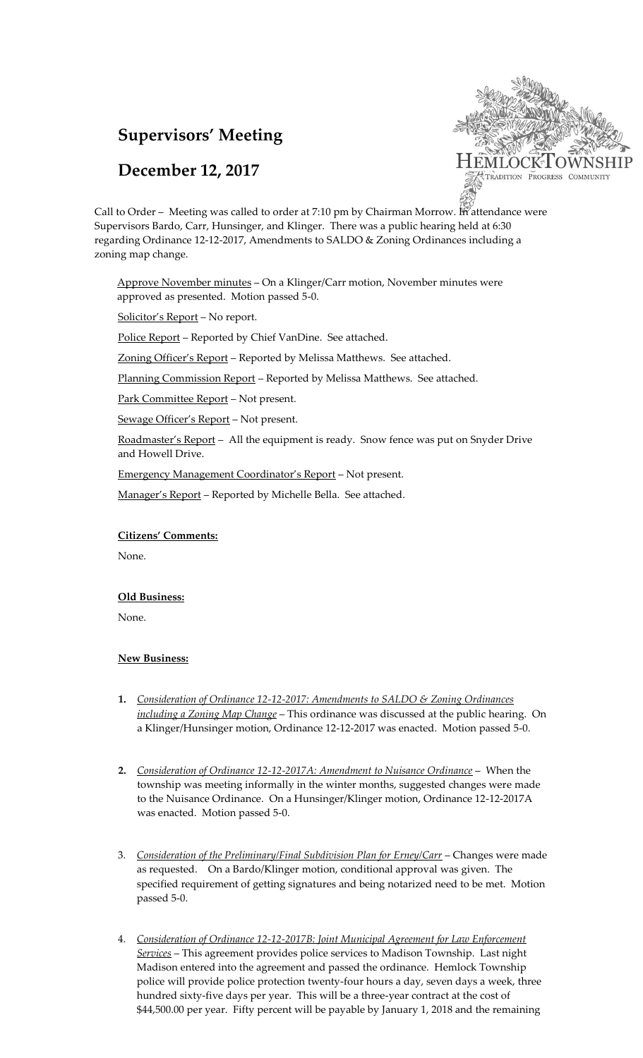# **Supervisors' Meeting**

## **December 12, 2017**



Call to Order – Meeting was called to order at 7:10 pm by Chairman Morrow. In attendance were Supervisors Bardo, Carr, Hunsinger, and Klinger. There was a public hearing held at 6:30 regarding Ordinance 12-12-2017, Amendments to SALDO & Zoning Ordinances including a zoning map change.

Approve November minutes - On a Klinger/Carr motion, November minutes were approved as presented. Motion passed 5-0.

Solicitor's Report – No report.

Police Report - Reported by Chief VanDine. See attached.

Zoning Officer's Report - Reported by Melissa Matthews. See attached.

Planning Commission Report - Reported by Melissa Matthews. See attached.

Park Committee Report – Not present.

Sewage Officer's Report – Not present.

Roadmaster's Report – All the equipment is ready. Snow fence was put on Snyder Drive and Howell Drive.

Emergency Management Coordinator's Report – Not present.

Manager's Report - Reported by Michelle Bella. See attached.

### **Citizens' Comments:**

None.

#### **Old Business:**

None.

### **New Business:**

- **1.** *Consideration of Ordinance 12-12-2017: Amendments to SALDO & Zoning Ordinances including a Zoning Map Change* – This ordinance was discussed at the public hearing. On a Klinger/Hunsinger motion, Ordinance 12-12-2017 was enacted. Motion passed 5-0.
- **2.** *Consideration of Ordinance 12-12-2017A: Amendment to Nuisance Ordinance* When the township was meeting informally in the winter months, suggested changes were made to the Nuisance Ordinance. On a Hunsinger/Klinger motion, Ordinance 12-12-2017A was enacted. Motion passed 5-0.
- 3. *Consideration of the Preliminary/Final Subdivision Plan for Erney/Carr* Changes were made as requested. On a Bardo/Klinger motion, conditional approval was given. The specified requirement of getting signatures and being notarized need to be met. Motion passed 5-0.
- 4. *Consideration of Ordinance 12-12-2017B: Joint Municipal Agreement for Law Enforcement Services* – This agreement provides police services to Madison Township. Last night Madison entered into the agreement and passed the ordinance. Hemlock Township police will provide police protection twenty-four hours a day, seven days a week, three hundred sixty-five days per year. This will be a three-year contract at the cost of \$44,500.00 per year. Fifty percent will be payable by January 1, 2018 and the remaining